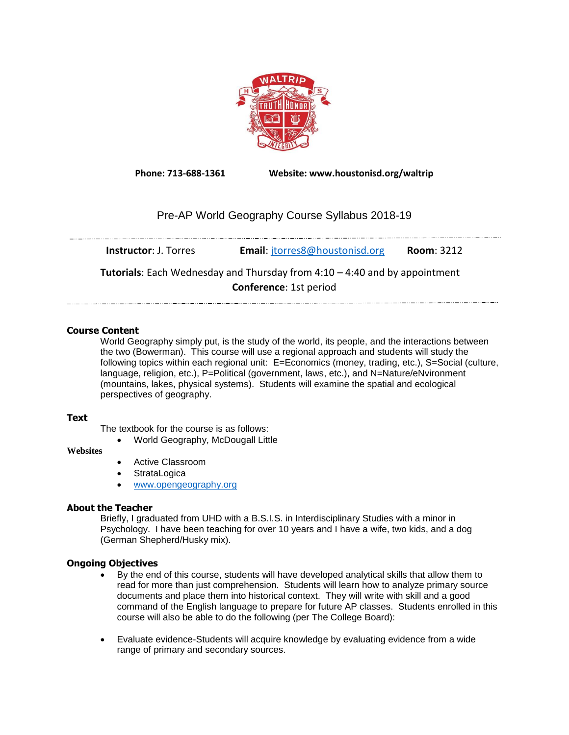

**Phone: 713-688-1361 Website: www.houstonisd.org/waltrip**

# Pre-AP World Geography Course Syllabus 2018-19

| <b>Instructor: J. Torres</b>                                                      | <b>Email:</b> jtorres8@houstonisd.org | <b>Room: 3212</b> |  |
|-----------------------------------------------------------------------------------|---------------------------------------|-------------------|--|
| <b>Tutorials:</b> Each Wednesday and Thursday from 4:10 – 4:40 and by appointment |                                       |                   |  |
|                                                                                   | <b>Conference: 1st period</b>         |                   |  |

## **Course Content**

World Geography simply put, is the study of the world, its people, and the interactions between the two (Bowerman). This course will use a regional approach and students will study the following topics within each regional unit: E=Economics (money, trading, etc.), S=Social (culture, language, religion, etc.), P=Political (government, laws, etc.), and N=Nature/eNvironment (mountains, lakes, physical systems). Students will examine the spatial and ecological perspectives of geography.

## **Text**

The textbook for the course is as follows:

World Geography, McDougall Little

## **Websites**

- Active Classroom
- **StrataLogica**
- [www.opengeography.org](http://www.opengeography.org/)

## **About the Teacher**

Briefly, I graduated from UHD with a B.S.I.S. in Interdisciplinary Studies with a minor in Psychology. I have been teaching for over 10 years and I have a wife, two kids, and a dog (German Shepherd/Husky mix).

## **Ongoing Objectives**

- By the end of this course, students will have developed analytical skills that allow them to read for more than just comprehension. Students will learn how to analyze primary source documents and place them into historical context. They will write with skill and a good command of the English language to prepare for future AP classes. Students enrolled in this course will also be able to do the following (per The College Board):
- Evaluate evidence-Students will acquire knowledge by evaluating evidence from a wide range of primary and secondary sources.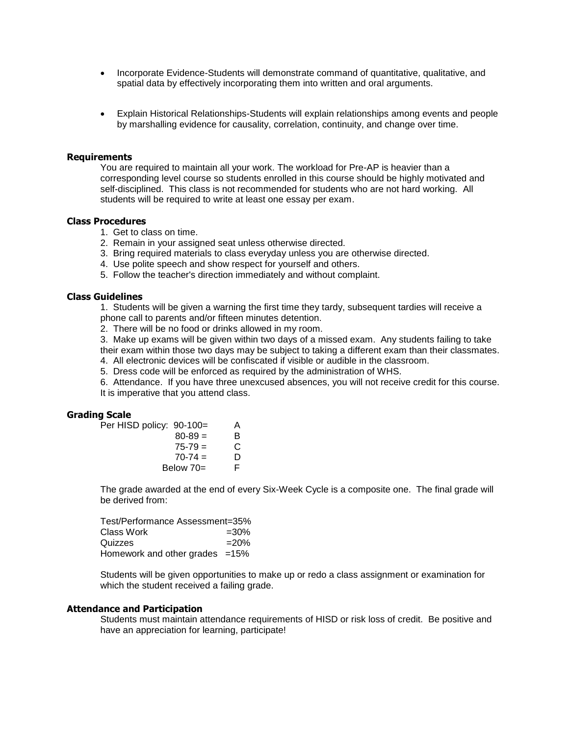- Incorporate Evidence-Students will demonstrate command of quantitative, qualitative, and spatial data by effectively incorporating them into written and oral arguments.
- Explain Historical Relationships-Students will explain relationships among events and people by marshalling evidence for causality, correlation, continuity, and change over time.

#### **Requirements**

You are required to maintain all your work. The workload for Pre-AP is heavier than a corresponding level course so students enrolled in this course should be highly motivated and self-disciplined. This class is not recommended for students who are not hard working. All students will be required to write at least one essay per exam.

#### **Class Procedures**

- 1. Get to class on time.
- 2. Remain in your assigned seat unless otherwise directed.
- 3. Bring required materials to class everyday unless you are otherwise directed.
- 4. Use polite speech and show respect for yourself and others.
- 5. Follow the teacher's direction immediately and without complaint.

#### **Class Guidelines**

1. Students will be given a warning the first time they tardy, subsequent tardies will receive a phone call to parents and/or fifteen minutes detention.

2. There will be no food or drinks allowed in my room.

3. Make up exams will be given within two days of a missed exam. Any students failing to take

their exam within those two days may be subject to taking a different exam than their classmates.

- 4. All electronic devices will be confiscated if visible or audible in the classroom.
- 5. Dress code will be enforced as required by the administration of WHS.

6. Attendance. If you have three unexcused absences, you will not receive credit for this course. It is imperative that you attend class.

#### **Grading Scale**

| Per HISD policy: 90-100= |             | A  |
|--------------------------|-------------|----|
|                          | $80 - 89 =$ | B. |
|                          | $75 - 79 =$ | С  |
|                          | $70-74 =$   | D  |

 $\mathsf D$ Below  $70=$ 

The grade awarded at the end of every Six-Week Cycle is a composite one. The final grade will be derived from:

| Test/Performance Assessment=35%   |         |  |
|-----------------------------------|---------|--|
| Class Work                        | $=30\%$ |  |
| Quizzes                           | $=20%$  |  |
| Homework and other grades $=15\%$ |         |  |

Students will be given opportunities to make up or redo a class assignment or examination for which the student received a failing grade.

#### **Attendance and Participation**

Students must maintain attendance requirements of HISD or risk loss of credit. Be positive and have an appreciation for learning, participate!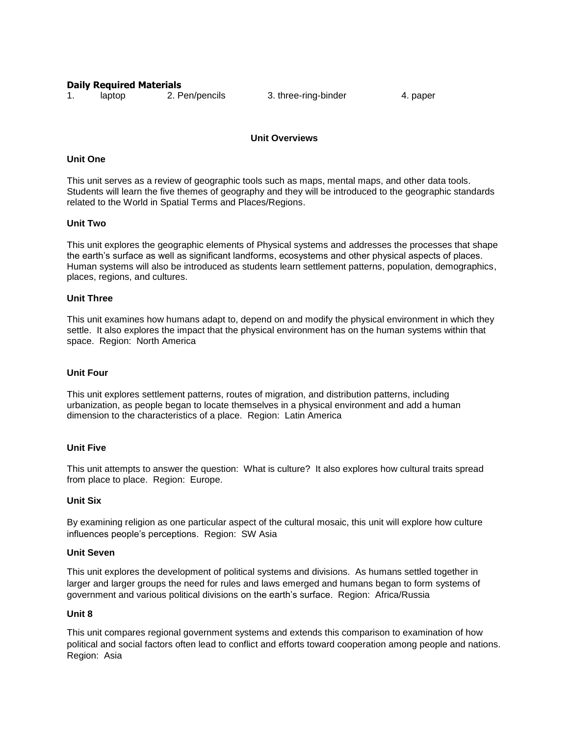#### **Daily Required Materials**

1. laptop 2. Pen/pencils 3. three-ring-binder 4. paper

## **Unit Overviews**

## **Unit One**

This unit serves as a review of geographic tools such as maps, mental maps, and other data tools. Students will learn the five themes of geography and they will be introduced to the geographic standards related to the World in Spatial Terms and Places/Regions.

## **Unit Two**

This unit explores the geographic elements of Physical systems and addresses the processes that shape the earth's surface as well as significant landforms, ecosystems and other physical aspects of places. Human systems will also be introduced as students learn settlement patterns, population, demographics, places, regions, and cultures.

#### **Unit Three**

This unit examines how humans adapt to, depend on and modify the physical environment in which they settle. It also explores the impact that the physical environment has on the human systems within that space. Region: North America

#### **Unit Four**

This unit explores settlement patterns, routes of migration, and distribution patterns, including urbanization, as people began to locate themselves in a physical environment and add a human dimension to the characteristics of a place. Region: Latin America

## **Unit Five**

This unit attempts to answer the question: What is culture? It also explores how cultural traits spread from place to place. Region: Europe.

## **Unit Six**

By examining religion as one particular aspect of the cultural mosaic, this unit will explore how culture influences people's perceptions. Region: SW Asia

#### **Unit Seven**

This unit explores the development of political systems and divisions. As humans settled together in larger and larger groups the need for rules and laws emerged and humans began to form systems of government and various political divisions on the earth's surface. Region: Africa/Russia

## **Unit 8**

This unit compares regional government systems and extends this comparison to examination of how political and social factors often lead to conflict and efforts toward cooperation among people and nations. Region: Asia